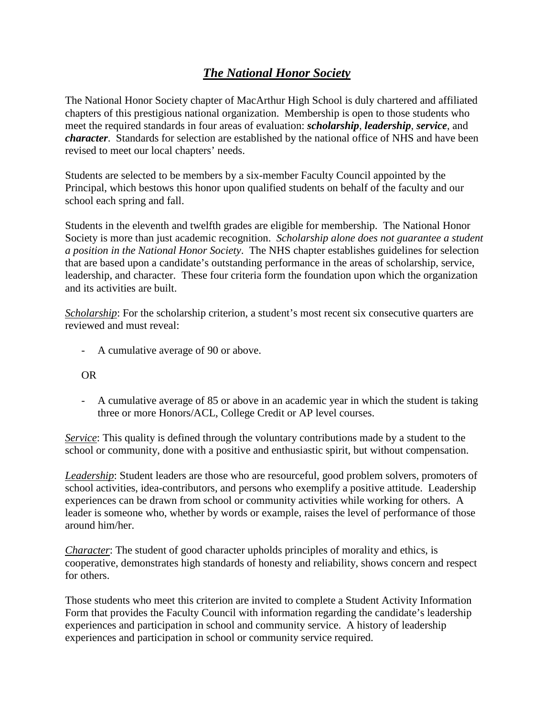## *The National Honor Society*

The National Honor Society chapter of MacArthur High School is duly chartered and affiliated chapters of this prestigious national organization. Membership is open to those students who meet the required standards in four areas of evaluation: *scholarship*, *leadership*, *service*, and *character*. Standards for selection are established by the national office of NHS and have been revised to meet our local chapters' needs.

Students are selected to be members by a six-member Faculty Council appointed by the Principal, which bestows this honor upon qualified students on behalf of the faculty and our school each spring and fall.

Students in the eleventh and twelfth grades are eligible for membership. The National Honor Society is more than just academic recognition. *Scholarship alone does not guarantee a student a position in the National Honor Society*. The NHS chapter establishes guidelines for selection that are based upon a candidate's outstanding performance in the areas of scholarship, service, leadership, and character. These four criteria form the foundation upon which the organization and its activities are built.

*Scholarship*: For the scholarship criterion, a student's most recent six consecutive quarters are reviewed and must reveal:

- A cumulative average of 90 or above.

## OR

- A cumulative average of 85 or above in an academic year in which the student is taking three or more Honors/ACL, College Credit or AP level courses.

*Service*: This quality is defined through the voluntary contributions made by a student to the school or community, done with a positive and enthusiastic spirit, but without compensation.

*Leadership*: Student leaders are those who are resourceful, good problem solvers, promoters of school activities, idea-contributors, and persons who exemplify a positive attitude. Leadership experiences can be drawn from school or community activities while working for others. A leader is someone who, whether by words or example, raises the level of performance of those around him/her.

*Character*: The student of good character upholds principles of morality and ethics, is cooperative, demonstrates high standards of honesty and reliability, shows concern and respect for others.

Those students who meet this criterion are invited to complete a Student Activity Information Form that provides the Faculty Council with information regarding the candidate's leadership experiences and participation in school and community service. A history of leadership experiences and participation in school or community service required.